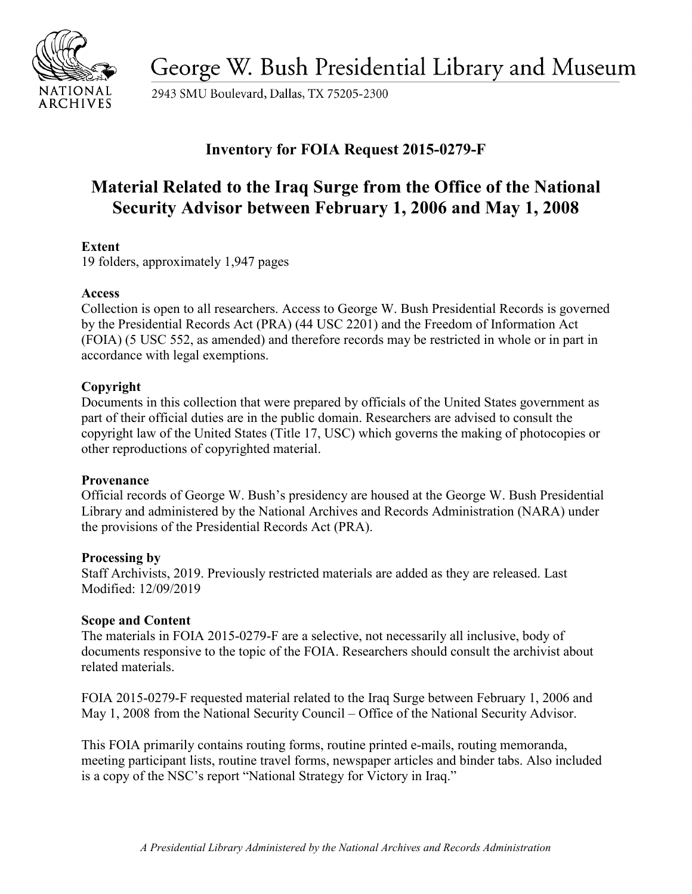

George W. Bush Presidential Library and Museum

2943 SMU Boulevard, Dallas, TX 75205-2300

# **Inventory for FOIA Request 2015-0279-F**

# **Material Related to the Iraq Surge from the Office of the National Security Advisor between February 1, 2006 and May 1, 2008**

## **Extent**

19 folders, approximately 1,947 pages

# **Access**

 by the Presidential Records Act (PRA) (44 USC 2201) and the Freedom of Information Act Collection is open to all researchers. Access to George W. Bush Presidential Records is governed (FOIA) (5 USC 552, as amended) and therefore records may be restricted in whole or in part in accordance with legal exemptions.

## **Copyright**

 Documents in this collection that were prepared by officials of the United States government as part of their official duties are in the public domain. Researchers are advised to consult the copyright law of the United States (Title 17, USC) which governs the making of photocopies or other reproductions of copyrighted material.

#### **Provenance**

 Official records of George W. Bush's presidency are housed at the George W. Bush Presidential Library and administered by the National Archives and Records Administration (NARA) under the provisions of the Presidential Records Act (PRA).

#### **Processing by**

Staff Archivists, 2019. Previously restricted materials are added as they are released. Last Modified: 12/09/2019

# **Scope and Content**

The materials in FOIA 2015-0279-F are a selective, not necessarily all inclusive, body of documents responsive to the topic of the FOIA. Researchers should consult the archivist about related materials.

 FOIA 2015-0279-F requested material related to the Iraq Surge between February 1, 2006 and May 1, 2008 from the National Security Council – Office of the National Security Advisor.

This FOIA primarily contains routing forms, routine printed e-mails, routing memoranda, meeting participant lists, routine travel forms, newspaper articles and binder tabs. Also included is a copy of the NSC's report "National Strategy for Victory in Iraq."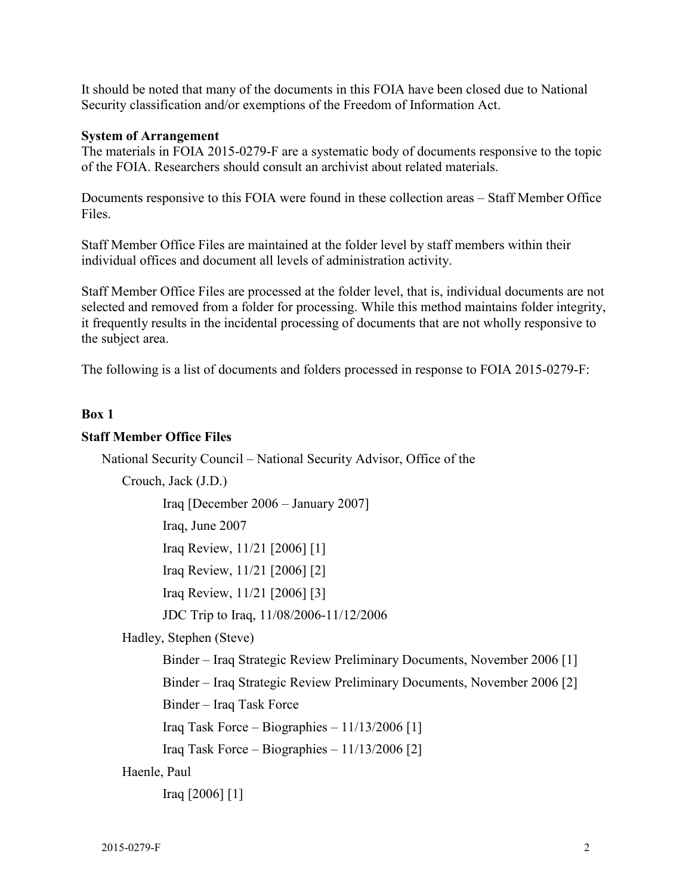It should be noted that many of the documents in this FOIA have been closed due to National Security classification and/or exemptions of the Freedom of Information Act.

#### **System of Arrangement**

 The materials in FOIA 2015-0279-F are a systematic body of documents responsive to the topic of the FOIA. Researchers should consult an archivist about related materials.

Documents responsive to this FOIA were found in these collection areas – Staff Member Office Files.

Staff Member Office Files are maintained at the folder level by staff members within their individual offices and document all levels of administration activity.

Staff Member Office Files are processed at the folder level, that is, individual documents are not selected and removed from a folder for processing. While this method maintains folder integrity, it frequently results in the incidental processing of documents that are not wholly responsive to the subject area.

The following is a list of documents and folders processed in response to FOIA 2015-0279-F:

#### **Box 1**

#### **Staff Member Office Files**

National Security Council – National Security Advisor, Office of the

Crouch, Jack (J.D.)

Iraq [December 2006 – January 2007]

Iraq, June 2007

Iraq Review, 11/21 [2006] [1]

Iraq Review, 11/21 [2006] [2]

Iraq Review, 11/21 [2006] [3]

JDC Trip to Iraq, 11/08/2006-11/12/2006

Hadley, Stephen (Steve)

Binder – Iraq Strategic Review Preliminary Documents, November 2006 [1]

Binder – Iraq Strategic Review Preliminary Documents, November 2006 [2]

Binder – Iraq Task Force

Iraq Task Force – Biographies –  $11/13/2006$  [1]

Iraq Task Force – Biographies –  $11/13/2006$  [2]

Haenle, Paul

Iraq [2006] [1]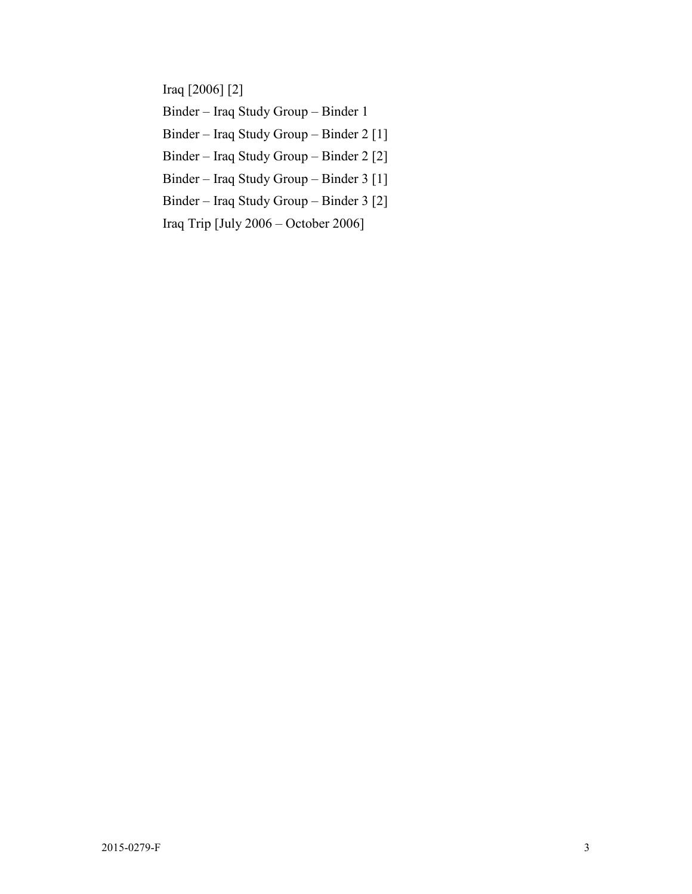Iraq [2006] [2]

Binder – Iraq Study Group – Binder 1

Binder – Iraq Study Group – Binder 2 [1]

Binder – Iraq Study Group – Binder 2 [2]

Binder – Iraq Study Group – Binder 3 [1]

Binder – Iraq Study Group – Binder 3 [2]

Iraq Trip [July 2006 – October 2006]